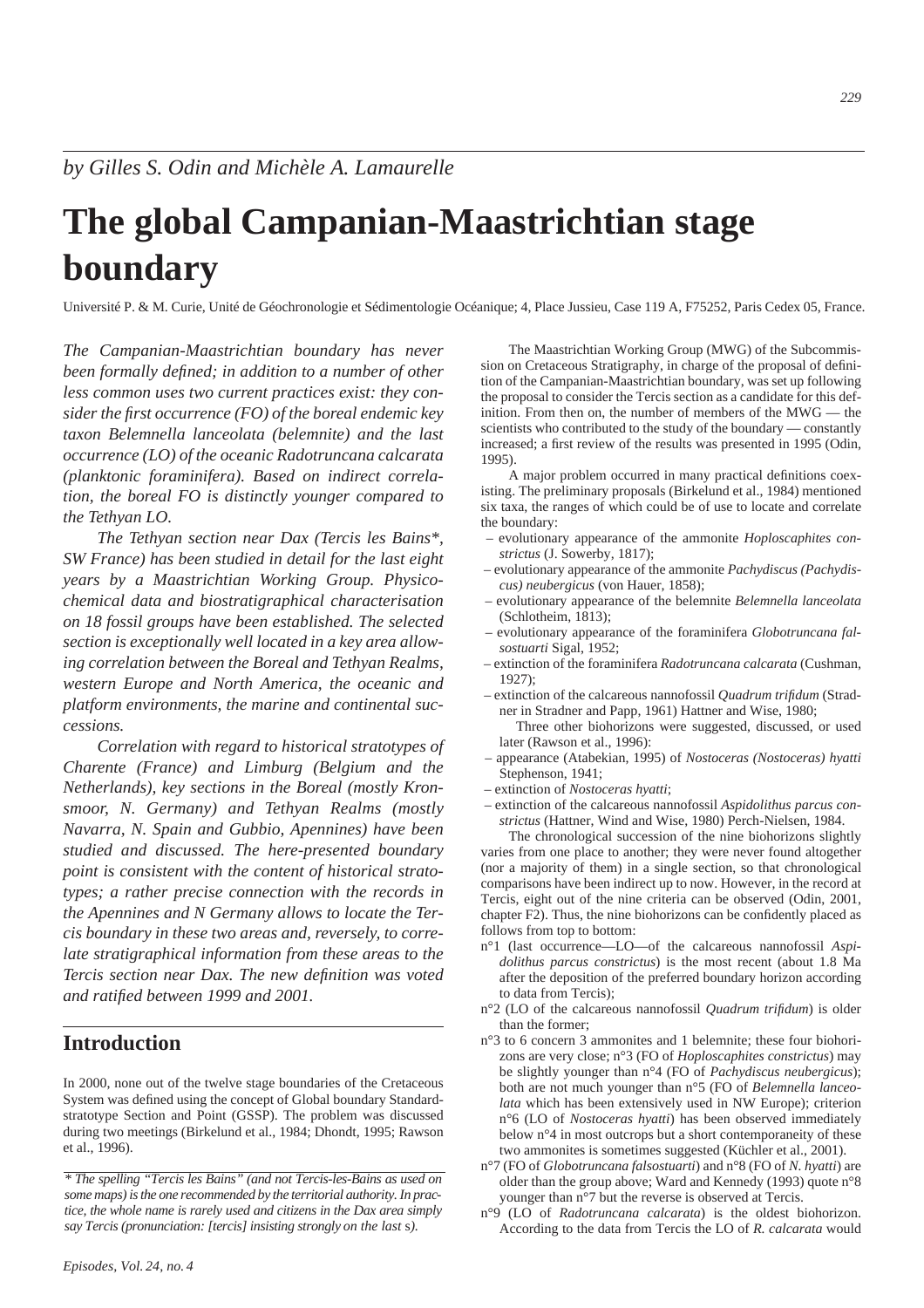*229*

# **The global Campanian-Maastrichtian stage boundary**

Université P. & M. Curie, Unité de Géochronologie et Sédimentologie Océanique; 4, Place Jussieu, Case 119 A, F75252, Paris Cedex 05, France.

*The Campanian-Maastrichtian boundary has never been formally defined; in addition to a number of other less common uses two current practices exist: they consider the first occurrence (FO) of the boreal endemic key taxon Belemnella lanceolata (belemnite) and the last occurrence (LO) of the oceanic Radotruncana calcarata (planktonic foraminifera). Based on indirect correlation, the boreal FO is distinctly younger compared to the Tethyan LO.*

*The Tethyan section near Dax (Tercis les Bains\*, SW France) has been studied in detail for the last eight years by a Maastrichtian Working Group. Physicochemical data and biostratigraphical characterisation on 18 fossil groups have been established. The selected section is exceptionally well located in a key area allowing correlation between the Boreal and Tethyan Realms, western Europe and North America, the oceanic and platform environments, the marine and continental successions.*

*Correlation with regard to historical stratotypes of Charente (France) and Limburg (Belgium and the Netherlands), key sections in the Boreal (mostly Kronsmoor, N. Germany) and Tethyan Realms (mostly Navarra, N. Spain and Gubbio, Apennines) have been studied and discussed. The here-presented boundary point is consistent with the content of historical stratotypes; a rather precise connection with the records in the Apennines and N Germany allows to locate the Tercis boundary in these two areas and, reversely, to correlate stratigraphical information from these areas to the Tercis section near Dax. The new definition was voted and ratified between 1999 and 2001.*

### **Introduction**

In 2000, none out of the twelve stage boundaries of the Cretaceous System was defined using the concept of Global boundary Standardstratotype Section and Point (GSSP). The problem was discussed during two meetings (Birkelund et al., 1984; Dhondt, 1995; Rawson et al., 1996).

The Maastrichtian Working Group (MWG) of the Subcommission on Cretaceous Stratigraphy, in charge of the proposal of definition of the Campanian-Maastrichtian boundary, was set up following the proposal to consider the Tercis section as a candidate for this definition. From then on, the number of members of the MWG — the scientists who contributed to the study of the boundary — constantly increased; a first review of the results was presented in 1995 (Odin, 1995).

A major problem occurred in many practical definitions coexisting. The preliminary proposals (Birkelund et al., 1984) mentioned six taxa, the ranges of which could be of use to locate and correlate the boundary:

- evolutionary appearance of the ammonite *Hoploscaphites constrictus* (J. Sowerby, 1817);
- evolutionary appearance of the ammonite *Pachydiscus (Pachydiscus) neubergicus* (von Hauer, 1858);
- evolutionary appearance of the belemnite *Belemnella lanceolata* (Schlotheim, 1813);
- evolutionary appearance of the foraminifera *Globotruncana falsostuarti* Sigal, 1952;
- extinction of the foraminifera *Radotruncana calcarata* (Cushman, 1927);
- extinction of the calcareous nannofossil *Quadrum trifidum* (Stradner in Stradner and Papp, 1961) Hattner and Wise, 1980;

Three other biohorizons were suggested, discussed, or used later (Rawson et al., 1996):

- appearance (Atabekian, 1995) of *Nostoceras (Nostoceras) hyatti* Stephenson, 1941;
- extinction of *Nostoceras hyatti*;
- extinction of the calcareous nannofossil *Aspidolithus parcus constrictus* (Hattner, Wind and Wise, 1980) Perch-Nielsen, 1984.

The chronological succession of the nine biohorizons slightly varies from one place to another; they were never found altogether (nor a majority of them) in a single section, so that chronological comparisons have been indirect up to now. However, in the record at Tercis, eight out of the nine criteria can be observed (Odin, 2001, chapter F2). Thus, the nine biohorizons can be confidently placed as follows from top to bottom:

- n°1 (last occurrence—LO—of the calcareous nannofossil *Aspidolithus parcus constrictus*) is the most recent (about 1.8 Ma after the deposition of the preferred boundary horizon according to data from Tercis);
- n°2 (LO of the calcareous nannofossil *Quadrum trifidum*) is older than the former;
- n°3 to 6 concern 3 ammonites and 1 belemnite; these four biohorizons are very close; n°3 (FO of *Hoploscaphites constrictus*) may be slightly younger than n°4 (FO of *Pachydiscus neubergicus*); both are not much younger than n°5 (FO of *Belemnella lanceolata* which has been extensively used in NW Europe); criterion n°6 (LO of *Nostoceras hyatti*) has been observed immediately below n°4 in most outcrops but a short contemporaneity of these two ammonites is sometimes suggested (Küchler et al., 2001).
- n°7 (FO of *Globotruncana falsostuarti*) and n°8 (FO of *N. hyatti*) are older than the group above; Ward and Kennedy (1993) quote n°8 younger than n°7 but the reverse is observed at Tercis.
- n°9 (LO of *Radotruncana calcarata*) is the oldest biohorizon. According to the data from Tercis the LO of *R. calcarata* would

*<sup>\*</sup> The spelling "Tercis les Bains" (and not Tercis-les-Bains as used on some maps) is the one recommended by the territorial authority. In practice, the whole name is rarely used and citizens in the Dax area simply say Tercis (pronunciation: [tercis] insisting strongly on the last* s*).*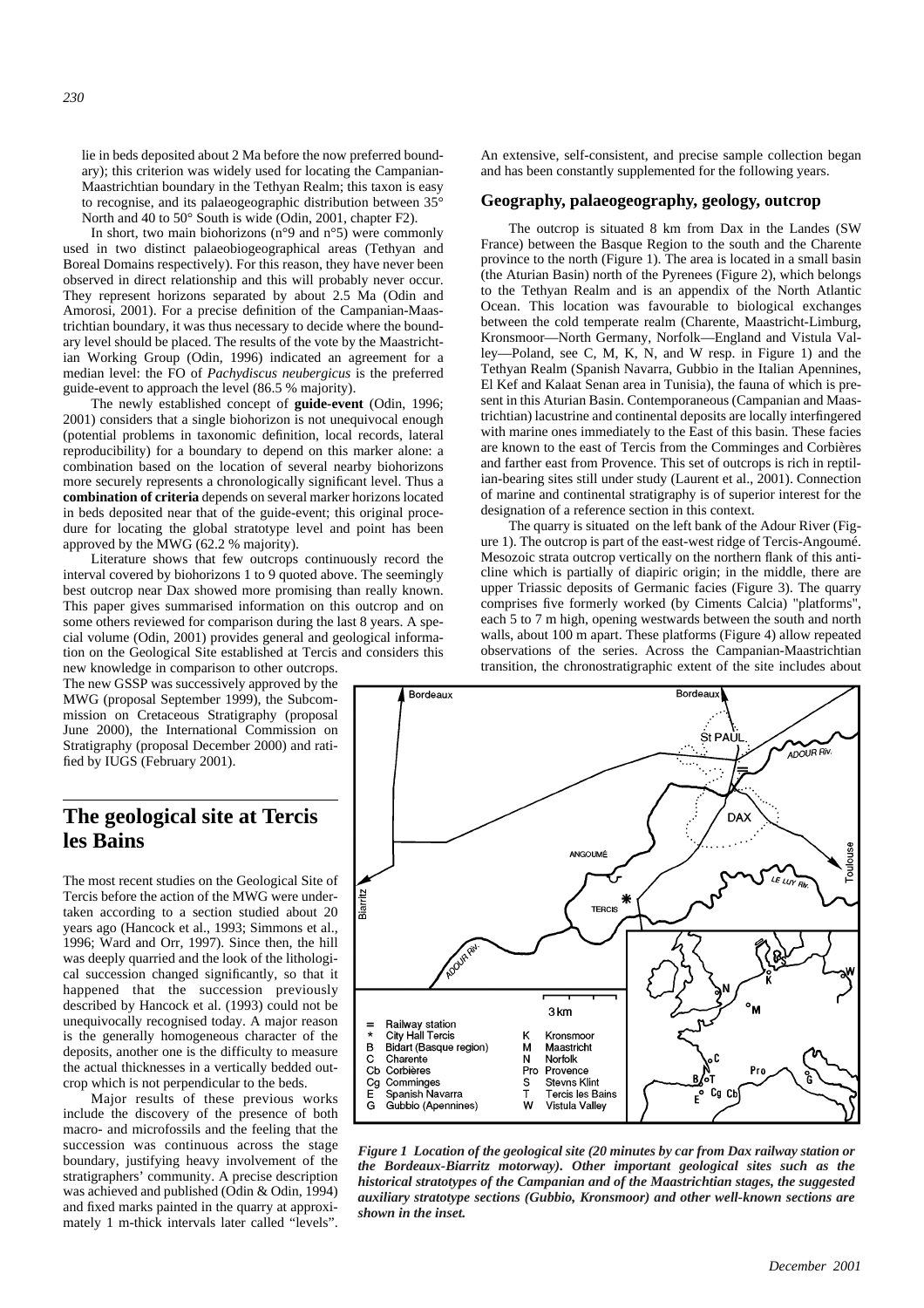ary); this criterion was widely used for locating the Campanian-Maastrichtian boundary in the Tethyan Realm; this taxon is easy to recognise, and its palaeogeographic distribution between 35° North and 40 to 50° South is wide (Odin, 2001, chapter F2).

In short, two main biohorizons ( $n°9$  and  $n°5$ ) were commonly used in two distinct palaeobiogeographical areas (Tethyan and Boreal Domains respectively). For this reason, they have never been observed in direct relationship and this will probably never occur. They represent horizons separated by about 2.5 Ma (Odin and Amorosi, 2001). For a precise definition of the Campanian-Maastrichtian boundary, it was thus necessary to decide where the boundary level should be placed. The results of the vote by the Maastrichtian Working Group (Odin, 1996) indicated an agreement for a median level: the FO of *Pachydiscus neubergicus* is the preferred guide-event to approach the level (86.5 % majority).

The newly established concept of **guide-event** (Odin, 1996; 2001) considers that a single biohorizon is not unequivocal enough (potential problems in taxonomic definition, local records, lateral reproducibility) for a boundary to depend on this marker alone: a combination based on the location of several nearby biohorizons more securely represents a chronologically significant level. Thus a **combination of criteria** depends on several marker horizons located in beds deposited near that of the guide-event; this original procedure for locating the global stratotype level and point has been approved by the MWG (62.2 % majority).

Literature shows that few outcrops continuously record the interval covered by biohorizons 1 to 9 quoted above. The seemingly best outcrop near Dax showed more promising than really known. This paper gives summarised information on this outcrop and on some others reviewed for comparison during the last 8 years. A special volume (Odin, 2001) provides general and geological information on the Geological Site established at Tercis and considers this new knowledge in comparison to other outcrops.

The new GSSP was successively approved by the MWG (proposal September 1999), the Subcommission on Cretaceous Stratigraphy (proposal June 2000), the International Commission on Stratigraphy (proposal December 2000) and ratified by IUGS (February 2001).

### **The geological site at Tercis les Bains**

The most recent studies on the Geological Site of Tercis before the action of the MWG were undertaken according to a section studied about 20 years ago (Hancock et al., 1993; Simmons et al., 1996; Ward and Orr, 1997). Since then, the hill was deeply quarried and the look of the lithological succession changed significantly, so that it happened that the succession previously described by Hancock et al. (1993) could not be unequivocally recognised today. A major reason is the generally homogeneous character of the deposits, another one is the difficulty to measure the actual thicknesses in a vertically bedded outcrop which is not perpendicular to the beds.

Major results of these previous works include the discovery of the presence of both macro- and microfossils and the feeling that the succession was continuous across the stage boundary, justifying heavy involvement of the stratigraphers' community. A precise description was achieved and published (Odin & Odin, 1994) and fixed marks painted in the quarry at approximately 1 m-thick intervals later called "levels". An extensive, self-consistent, and precise sample collection began and has been constantly supplemented for the following years.

#### **Geography, palaeogeography, geology, outcrop**

The outcrop is situated 8 km from Dax in the Landes (SW France) between the Basque Region to the south and the Charente province to the north (Figure 1). The area is located in a small basin (the Aturian Basin) north of the Pyrenees (Figure 2), which belongs to the Tethyan Realm and is an appendix of the North Atlantic Ocean. This location was favourable to biological exchanges between the cold temperate realm (Charente, Maastricht-Limburg, Kronsmoor—North Germany, Norfolk—England and Vistula Valley—Poland, see C, M, K, N, and W resp. in Figure 1) and the Tethyan Realm (Spanish Navarra, Gubbio in the Italian Apennines, El Kef and Kalaat Senan area in Tunisia), the fauna of which is present in this Aturian Basin. Contemporaneous (Campanian and Maastrichtian) lacustrine and continental deposits are locally interfingered with marine ones immediately to the East of this basin. These facies are known to the east of Tercis from the Comminges and Corbières and farther east from Provence. This set of outcrops is rich in reptilian-bearing sites still under study (Laurent et al., 2001). Connection of marine and continental stratigraphy is of superior interest for the designation of a reference section in this context.

The quarry is situated on the left bank of the Adour River (Figure 1). The outcrop is part of the east-west ridge of Tercis-Angoumé. Mesozoic strata outcrop vertically on the northern flank of this anticline which is partially of diapiric origin; in the middle, there are upper Triassic deposits of Germanic facies (Figure 3). The quarry comprises five formerly worked (by Ciments Calcia) "platforms", each 5 to 7 m high, opening westwards between the south and north walls, about 100 m apart. These platforms (Figure 4) allow repeated observations of the series. Across the Campanian-Maastrichtian transition, the chronostratigraphic extent of the site includes about



*Figure 1 Location of the geological site (20 minutes by car from Dax railway station or the Bordeaux-Biarritz motorway). Other important geological sites such as the historical stratotypes of the Campanian and of the Maastrichtian stages, the suggested auxiliary stratotype sections (Gubbio, Kronsmoor) and other well-known sections are shown in the inset.*

*230*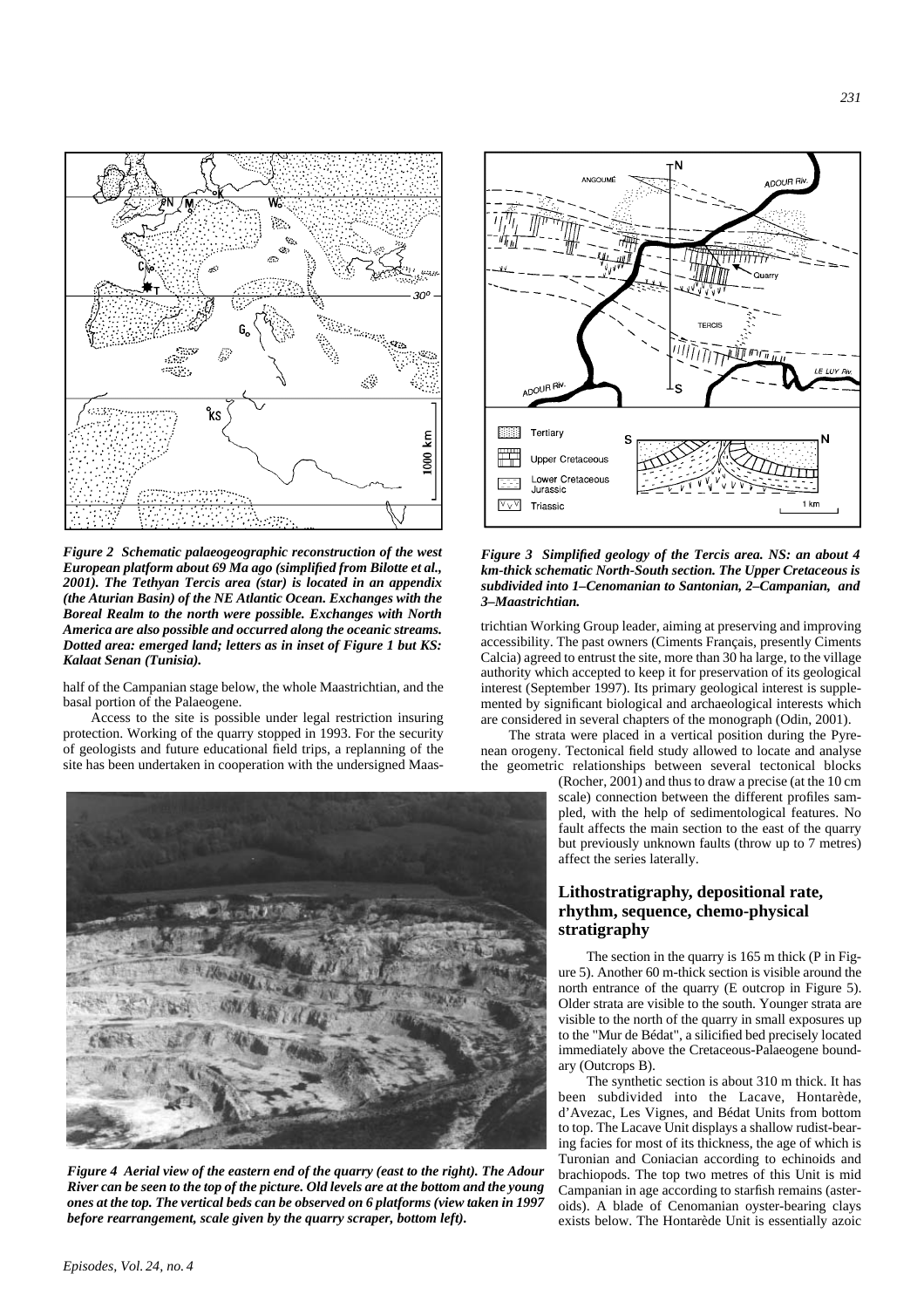

*Figure 2 Schematic palaeogeographic reconstruction of the west European platform about 69 Ma ago (simplified from Bilotte et al., 2001). The Tethyan Tercis area (star) is located in an appendix (the Aturian Basin) of the NE Atlantic Ocean. Exchanges with the Boreal Realm to the north were possible. Exchanges with North America are also possible and occurred along the oceanic streams. Dotted area: emerged land; letters as in inset of Figure 1 but KS: Kalaat Senan (Tunisia).*

half of the Campanian stage below, the whole Maastrichtian, and the basal portion of the Palaeogene.

Access to the site is possible under legal restriction insuring protection. Working of the quarry stopped in 1993. For the security of geologists and future educational field trips, a replanning of the site has been undertaken in cooperation with the undersigned Maas-



*Figure 4 Aerial view of the eastern end of the quarry (east to the right). The Adour River can be seen to the top of the picture. Old levels are at the bottom and the young ones at the top. The vertical beds can be observed on 6 platforms (view taken in 1997 before rearrangement, scale given by the quarry scraper, bottom left).*



*Figure 3 Simplified geology of the Tercis area. NS: an about 4 km-thick schematic North-South section. The Upper Cretaceous is subdivided into 1–Cenomanian to Santonian, 2–Campanian, and 3–Maastrichtian.*

trichtian Working Group leader, aiming at preserving and improving accessibility. The past owners (Ciments Français, presently Ciments Calcia) agreed to entrust the site, more than 30 ha large, to the village authority which accepted to keep it for preservation of its geological interest (September 1997). Its primary geological interest is supplemented by significant biological and archaeological interests which are considered in several chapters of the monograph (Odin, 2001).

The strata were placed in a vertical position during the Pyrenean orogeny. Tectonical field study allowed to locate and analyse the geometric relationships between several tectonical blocks

> (Rocher, 2001) and thus to draw a precise (at the 10 cm scale) connection between the different profiles sampled, with the help of sedimentological features. No fault affects the main section to the east of the quarry but previously unknown faults (throw up to 7 metres) affect the series laterally.

#### **Lithostratigraphy, depositional rate, rhythm, sequence, chemo-physical stratigraphy**

The section in the quarry is 165 m thick (P in Figure 5). Another 60 m-thick section is visible around the north entrance of the quarry (E outcrop in Figure 5). Older strata are visible to the south. Younger strata are visible to the north of the quarry in small exposures up to the "Mur de Bédat", a silicified bed precisely located immediately above the Cretaceous-Palaeogene boundary (Outcrops B).

The synthetic section is about 310 m thick. It has been subdivided into the Lacave, Hontarède, d'Avezac, Les Vignes, and Bédat Units from bottom to top. The Lacave Unit displays a shallow rudist-bearing facies for most of its thickness, the age of which is Turonian and Coniacian according to echinoids and brachiopods. The top two metres of this Unit is mid Campanian in age according to starfish remains (asteroids). A blade of Cenomanian oyster-bearing clays exists below. The Hontarède Unit is essentially azoic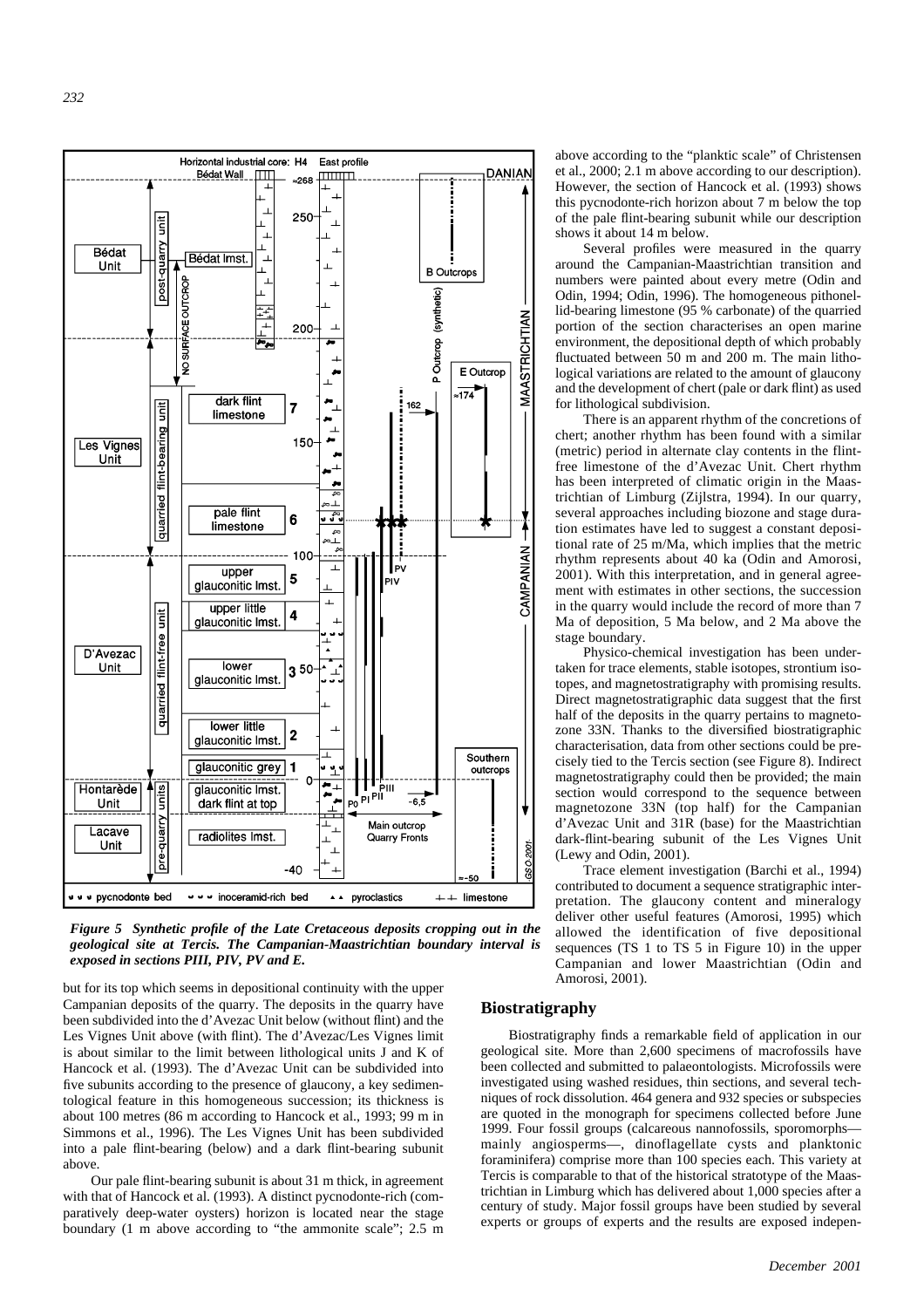

*Figure 5 Synthetic profile of the Late Cretaceous deposits cropping out in the geological site at Tercis. The Campanian-Maastrichtian boundary interval is exposed in sections PIII, PIV, PV and E.* 

but for its top which seems in depositional continuity with the upper Campanian deposits of the quarry. The deposits in the quarry have been subdivided into the d'Avezac Unit below (without flint) and the Les Vignes Unit above (with flint). The d'Avezac/Les Vignes limit is about similar to the limit between lithological units J and K of Hancock et al. (1993). The d'Avezac Unit can be subdivided into five subunits according to the presence of glaucony, a key sedimentological feature in this homogeneous succession; its thickness is about 100 metres (86 m according to Hancock et al., 1993; 99 m in Simmons et al., 1996). The Les Vignes Unit has been subdivided into a pale flint-bearing (below) and a dark flint-bearing subunit above.

Our pale flint-bearing subunit is about 31 m thick, in agreement with that of Hancock et al. (1993). A distinct pycnodonte-rich (comparatively deep-water oysters) horizon is located near the stage boundary (1 m above according to "the ammonite scale"; 2.5 m

above according to the "planktic scale" of Christensen et al., 2000; 2.1 m above according to our description). However, the section of Hancock et al. (1993) shows this pycnodonte-rich horizon about 7 m below the top of the pale flint-bearing subunit while our description shows it about 14 m below.

Several profiles were measured in the quarry around the Campanian-Maastrichtian transition and numbers were painted about every metre (Odin and Odin, 1994; Odin, 1996). The homogeneous pithonellid-bearing limestone (95 % carbonate) of the quarried portion of the section characterises an open marine environment, the depositional depth of which probably fluctuated between 50 m and 200 m. The main lithological variations are related to the amount of glaucony and the development of chert (pale or dark flint) as used for lithological subdivision.

There is an apparent rhythm of the concretions of chert; another rhythm has been found with a similar (metric) period in alternate clay contents in the flintfree limestone of the d'Avezac Unit. Chert rhythm has been interpreted of climatic origin in the Maastrichtian of Limburg (Zijlstra, 1994). In our quarry, several approaches including biozone and stage duration estimates have led to suggest a constant depositional rate of 25 m/Ma, which implies that the metric rhythm represents about 40 ka (Odin and Amorosi, 2001). With this interpretation, and in general agreement with estimates in other sections, the succession in the quarry would include the record of more than 7 Ma of deposition, 5 Ma below, and 2 Ma above the stage boundary.

Physico-chemical investigation has been undertaken for trace elements, stable isotopes, strontium isotopes, and magnetostratigraphy with promising results. Direct magnetostratigraphic data suggest that the first half of the deposits in the quarry pertains to magnetozone 33N. Thanks to the diversified biostratigraphic characterisation, data from other sections could be precisely tied to the Tercis section (see Figure 8). Indirect magnetostratigraphy could then be provided; the main section would correspond to the sequence between magnetozone 33N (top half) for the Campanian d'Avezac Unit and 31R (base) for the Maastrichtian dark-flint-bearing subunit of the Les Vignes Unit (Lewy and Odin, 2001).

Trace element investigation (Barchi et al., 1994) contributed to document a sequence stratigraphic interpretation. The glaucony content and mineralogy deliver other useful features (Amorosi, 1995) which allowed the identification of five depositional sequences (TS 1 to TS 5 in Figure 10) in the upper Campanian and lower Maastrichtian (Odin and Amorosi, 2001).

#### **Biostratigraphy**

Biostratigraphy finds a remarkable field of application in our geological site. More than 2,600 specimens of macrofossils have been collected and submitted to palaeontologists. Microfossils were investigated using washed residues, thin sections, and several techniques of rock dissolution. 464 genera and 932 species or subspecies are quoted in the monograph for specimens collected before June 1999. Four fossil groups (calcareous nannofossils, sporomorphs mainly angiosperms—, dinoflagellate cysts and planktonic foraminifera) comprise more than 100 species each. This variety at Tercis is comparable to that of the historical stratotype of the Maastrichtian in Limburg which has delivered about 1,000 species after a century of study. Major fossil groups have been studied by several experts or groups of experts and the results are exposed indepen-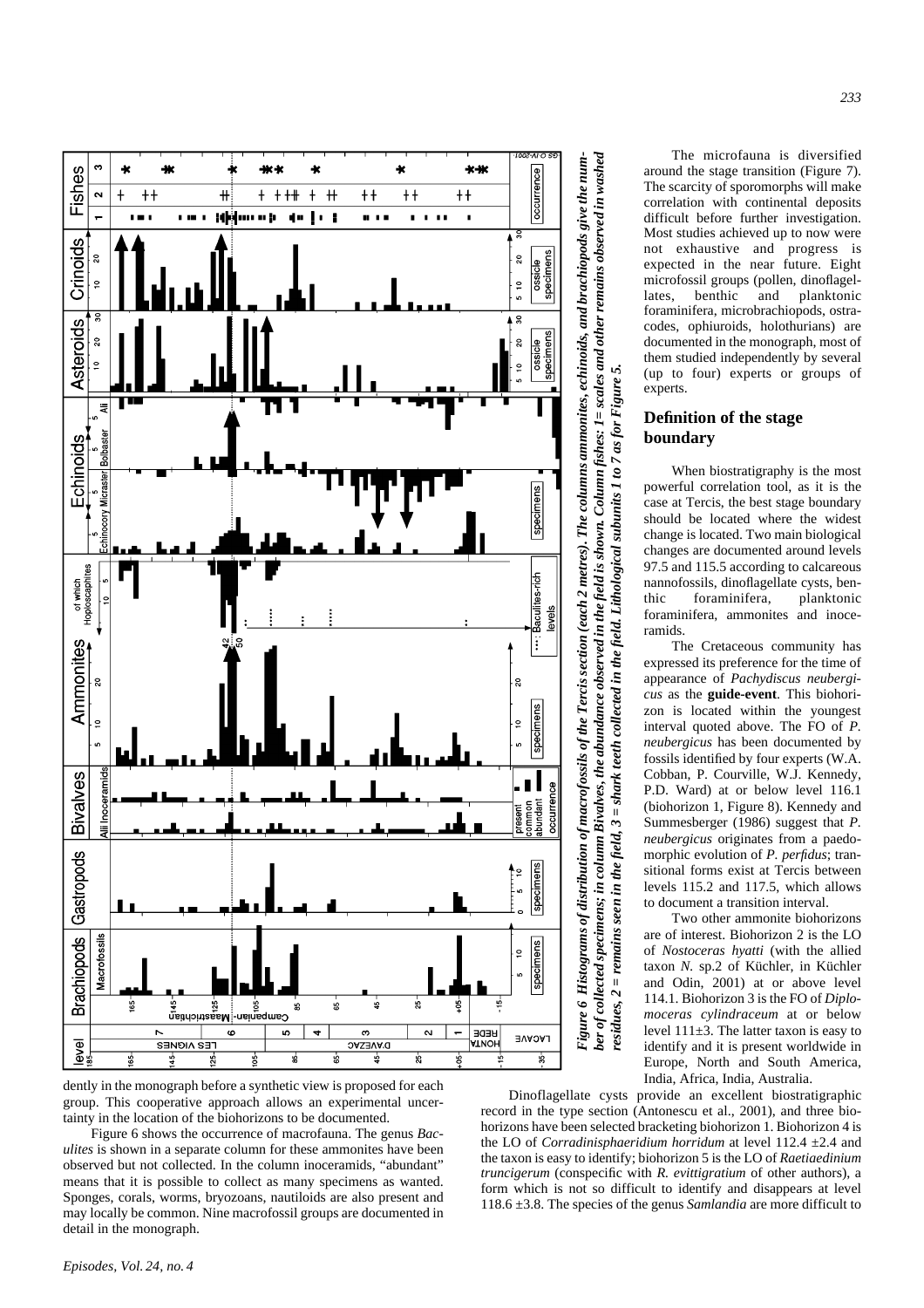

*ber of collected specimens; in column Bivalves, the abundance observed in the field is shown. Column fishes: 1= scales and other remains observed in washed* Figure 6 Histograms of distribution of macrofossils of the Tercis section (each 2 metres). The columns ammonites, echinoids, and brachiopods give the num-*Figure 6 Histograms of distribution of macrofossils of the Tercis section (each 2 metres). The columns ammonites, echinoids, and brachiopods give the num*ber of collected specimens; in column Bivalves, the abundance observed in the field is shown. Column fishes: 1 = scales and other remains observed in washed *residues, 2 = remains seen in the field, 3 = shark teeth collected in the field. Lithological subunits 1 to 7 as for Figure 5.* = remains seen in the field,  $3$  = shark teeth collected in the field. Lithological subunits 1 to 7 as for Figure 5.  $\overline{\mathbf{c}}$ residues,

The microfauna is diversified around the stage transition (Figure 7). The scarcity of sporomorphs will make correlation with continental deposits difficult before further investigation. Most studies achieved up to now were not exhaustive and progress is expected in the near future. Eight microfossil groups (pollen, dinoflagellates, benthic and planktonic foraminifera, microbrachiopods, ostracodes, ophiuroids, holothurians) are documented in the monograph, most of them studied independently by several (up to four) experts or groups of experts.

#### **Definition of the stage boundary**

When biostratigraphy is the most powerful correlation tool, as it is the case at Tercis, the best stage boundary should be located where the widest change is located. Two main biological changes are documented around levels 97.5 and 115.5 according to calcareous nannofossils, dinoflagellate cysts, benthic foraminifera, planktonic foraminifera, ammonites and inoceramids.

The Cretaceous community has expressed its preference for the time of appearance of *Pachydiscus neubergicus* as the **guide-event**. This biohorizon is located within the youngest interval quoted above. The FO of *P. neubergicus* has been documented by fossils identified by four experts (W.A. Cobban, P. Courville, W.J. Kennedy, P.D. Ward) at or below level 116.1 (biohorizon 1, Figure 8). Kennedy and Summesberger (1986) suggest that *P. neubergicus* originates from a paedomorphic evolution of *P. perfidus*; transitional forms exist at Tercis between levels 115.2 and 117.5, which allows to document a transition interval.

Two other ammonite biohorizons are of interest. Biohorizon 2 is the LO of *Nostoceras hyatti* (with the allied taxon *N.* sp.2 of Küchler, in Küchler and Odin, 2001) at or above level 114.1. Biohorizon 3 is the FO of *Diplomoceras cylindraceum* at or below level  $111\pm3$ . The latter taxon is easy to identify and it is present worldwide in Europe, North and South America, India, Africa, India, Australia.

Dinoflagellate cysts provide an excellent biostratigraphic record in the type section (Antonescu et al., 2001), and three biohorizons have been selected bracketing biohorizon 1. Biohorizon 4 is the LO of *Corradinisphaeridium horridum* at level 112.4 ±2.4 and the taxon is easy to identify; biohorizon 5 is the LO of *Raetiaedinium truncigerum* (conspecific with *R. evittigratium* of other authors), a form which is not so difficult to identify and disappears at level 118.6 ±3.8. The species of the genus *Samlandia* are more difficult to

dently in the monograph before a synthetic view is proposed for each group. This cooperative approach allows an experimental uncertainty in the location of the biohorizons to be documented.

Figure 6 shows the occurrence of macrofauna. The genus *Baculites* is shown in a separate column for these ammonites have been observed but not collected. In the column inoceramids, "abundant" means that it is possible to collect as many specimens as wanted. Sponges, corals, worms, bryozoans, nautiloids are also present and may locally be common. Nine macrofossil groups are documented in detail in the monograph.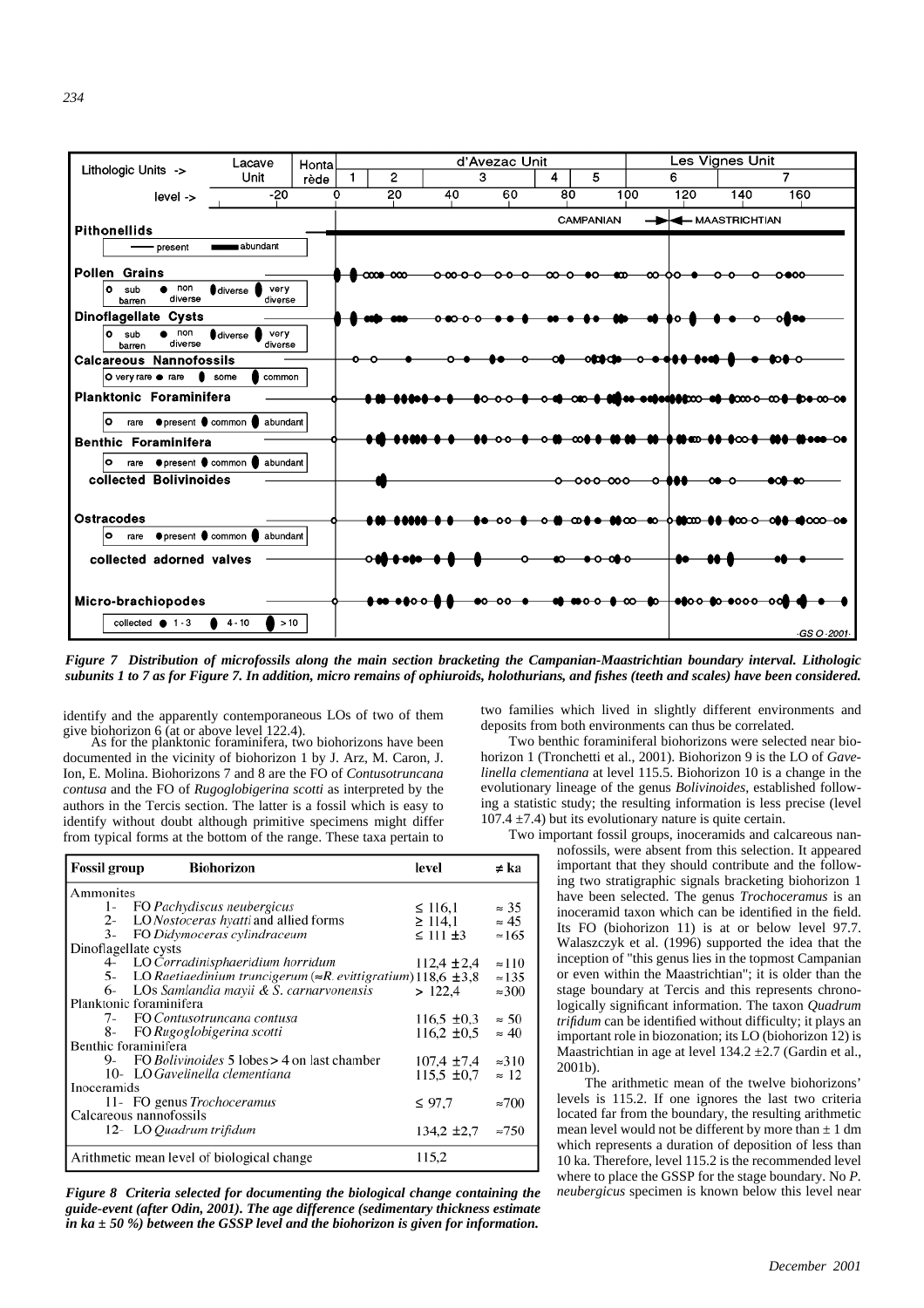

*Figure 7 Distribution of microfossils along the main section bracketing the Campanian-Maastrichtian boundary interval. Lithologic subunits 1 to 7 as for Figure 7. In addition, micro remains of ophiuroids, holothurians, and fishes (teeth and scales) have been considered.*

identify and the apparently contemporaneous LOs of two of them give biohorizon 6 (at or above level 122.4). As for the planktonic foraminifera, two biohorizons have been

documented in the vicinity of biohorizon 1 by J. Arz, M. Caron, J. Ion, E. Molina. Biohorizons 7 and 8 are the FO of *Contusotruncana contusa* and the FO of *Rugoglobigerina scotti* as interpreted by the authors in the Tercis section. The latter is a fossil which is easy to identify without doubt although primitive specimens might differ from typical forms at the bottom of the range. These taxa pertain to

| <b>Fossil group</b>                        | <b>Biohorizon</b>                                                          | level              | ≠ ka          |
|--------------------------------------------|----------------------------------------------------------------------------|--------------------|---------------|
| Ammonites                                  |                                                                            |                    |               |
| l-                                         | FO Pachydiscus neubergicus                                                 | $\leq 116.1$       | $\approx$ 35  |
| $2 -$                                      | LO Nostoceras hyatti and allied forms                                      | $\geq 114.1$       | $\approx 45$  |
| $3 -$                                      | FO Didymoceras cylindraceum                                                | $\leq$ 111 $\pm$ 3 | $\approx 165$ |
| Dinoflagellate cysts                       |                                                                            |                    |               |
| 4-                                         | LO Corradinisphaeridium horridum                                           | $112.4 \pm 2.4$    | $\approx$ 110 |
| 5-                                         | LO Raetiaedinium truncigerum ( $\approx$ R. evittigratium) 118,6 $\pm$ 3,8 |                    | $\approx$ 135 |
|                                            | 6- LOs Samlandia mayii & S. carnarvonensis                                 | >122.4             | $\approx 300$ |
| Planktonic foraminifera                    |                                                                            |                    |               |
|                                            | 7- FO Contusotruncana contusa                                              | $116.5 \pm 0.3$    | $\approx$ 50  |
| 8-                                         | FO Rugoglobigerina scotti                                                  | $116.2 \pm 0.5$    | $\approx 40$  |
| Benthic foraminifera                       |                                                                            |                    |               |
| 9-                                         | FO <i>Bolivinoides</i> 5 lobes > 4 on last chamber                         | $107.4 \pm 7.4$    | $\approx 310$ |
|                                            | 10- LO Gavelinella clementiana                                             | $115.5 \pm 0.7$    | $\approx 12$  |
| Inoceramids                                |                                                                            |                    |               |
|                                            | 11- FO genus Trochoceramus                                                 | $\leq 97.7$        | $\approx 700$ |
| Calcareous nannofossils                    |                                                                            |                    |               |
|                                            | 12- LO Quadrum trifidum                                                    | $134.2 \pm 2.7$    | $\approx 750$ |
| Arithmetic mean level of biological change |                                                                            | 115.2              |               |

*Figure 8 Criteria selected for documenting the biological change containing the guide-event (after Odin, 2001). The age difference (sedimentary thickness estimate in ka ± 50 %) between the GSSP level and the biohorizon is given for information.*

two families which lived in slightly different environments and deposits from both environments can thus be correlated.

Two benthic foraminiferal biohorizons were selected near biohorizon 1 (Tronchetti et al., 2001). Biohorizon 9 is the LO of *Gavelinella clementiana* at level 115.5. Biohorizon 10 is a change in the evolutionary lineage of the genus *Bolivinoides*, established following a statistic study; the resulting information is less precise (level 107.4  $\pm$ 7.4) but its evolutionary nature is quite certain.

Two important fossil groups, inoceramids and calcareous nannofossils, were absent from this selection. It appeared important that they should contribute and the following two stratigraphic signals bracketing biohorizon 1 have been selected. The genus *Trochoceramus* is an inoceramid taxon which can be identified in the field. Its FO (biohorizon 11) is at or below level 97.7. Walaszczyk et al. (1996) supported the idea that the inception of "this genus lies in the topmost Campanian or even within the Maastrichtian"; it is older than the stage boundary at Tercis and this represents chronologically significant information. The taxon *Quadrum trifidum* can be identified without difficulty; it plays an important role in biozonation; its LO (biohorizon 12) is Maastrichtian in age at level 134.2 ±2.7 (Gardin et al., 2001b).

> The arithmetic mean of the twelve biohorizons' levels is 115.2. If one ignores the last two criteria located far from the boundary, the resulting arithmetic mean level would not be different by more than  $\pm 1$  dm which represents a duration of deposition of less than 10 ka. Therefore, level 115.2 is the recommended level where to place the GSSP for the stage boundary. No *P. neubergicus* specimen is known below this level near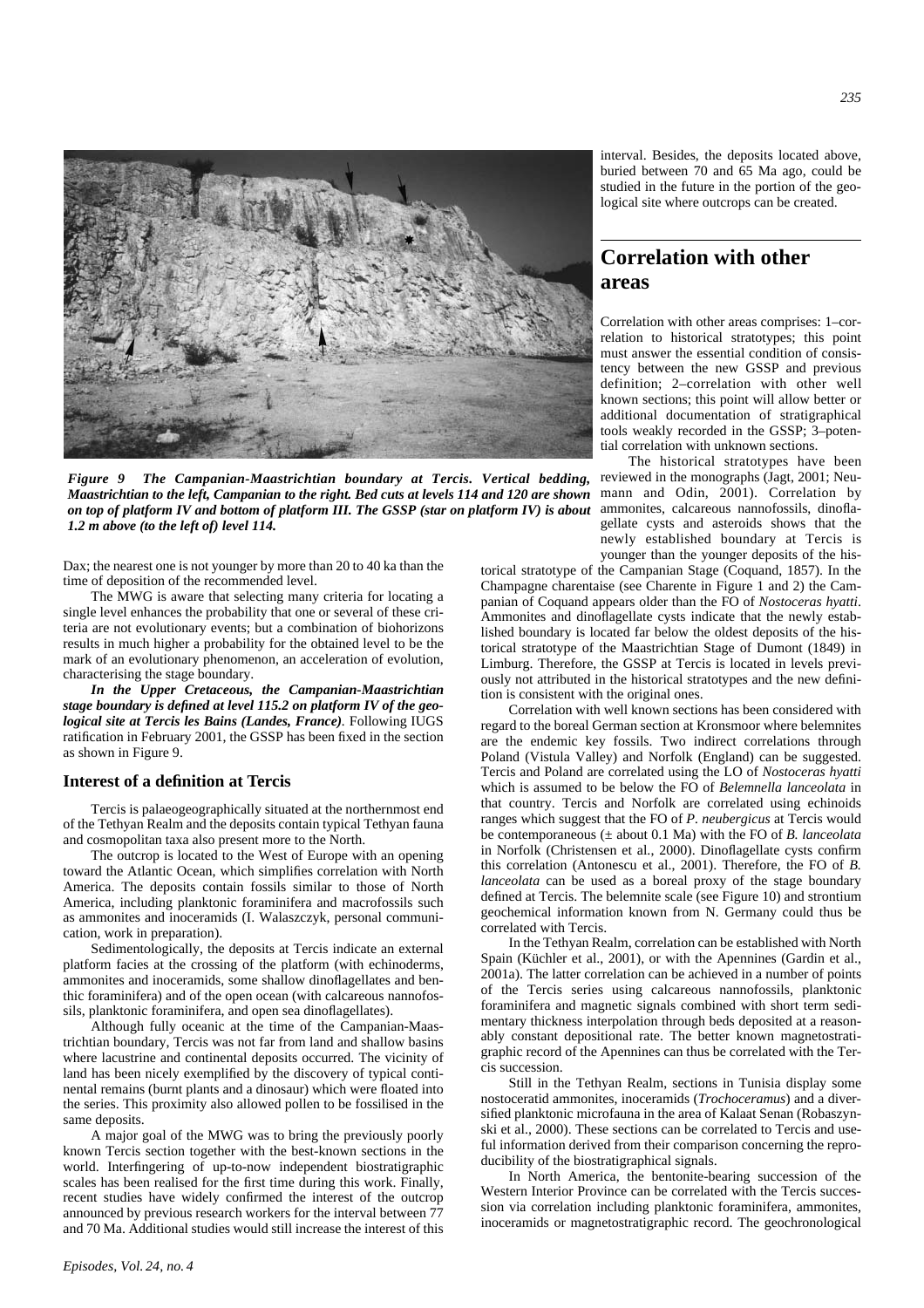

*Figure 9 The Campanian-Maastrichtian boundary at Tercis. Vertical bedding, Maastrichtian to the left, Campanian to the right. Bed cuts at levels 114 and 120 are shown on top of platform IV and bottom of platform III. The GSSP (star on platform IV) is about 1.2 m above (to the left of) level 114.*

Dax; the nearest one is not younger by more than 20 to 40 ka than the time of deposition of the recommended level.

The MWG is aware that selecting many criteria for locating a single level enhances the probability that one or several of these criteria are not evolutionary events; but a combination of biohorizons results in much higher a probability for the obtained level to be the mark of an evolutionary phenomenon, an acceleration of evolution, characterising the stage boundary.

*In the Upper Cretaceous, the Campanian-Maastrichtian stage boundary is defined at level 115.2 on platform IV of the geological site at Tercis les Bains (Landes, France).* Following IUGS ratification in February 2001, the GSSP has been fixed in the section as shown in Figure 9.

#### **Interest of a definition at Tercis**

Tercis is palaeogeographically situated at the northernmost end of the Tethyan Realm and the deposits contain typical Tethyan fauna and cosmopolitan taxa also present more to the North.

The outcrop is located to the West of Europe with an opening toward the Atlantic Ocean, which simplifies correlation with North America. The deposits contain fossils similar to those of North America, including planktonic foraminifera and macrofossils such as ammonites and inoceramids (I. Walaszczyk, personal communication, work in preparation).

Sedimentologically, the deposits at Tercis indicate an external platform facies at the crossing of the platform (with echinoderms, ammonites and inoceramids, some shallow dinoflagellates and benthic foraminifera) and of the open ocean (with calcareous nannofossils, planktonic foraminifera, and open sea dinoflagellates).

Although fully oceanic at the time of the Campanian-Maastrichtian boundary, Tercis was not far from land and shallow basins where lacustrine and continental deposits occurred. The vicinity of land has been nicely exemplified by the discovery of typical continental remains (burnt plants and a dinosaur) which were floated into the series. This proximity also allowed pollen to be fossilised in the same deposits.

A major goal of the MWG was to bring the previously poorly known Tercis section together with the best-known sections in the world. Interfingering of up-to-now independent biostratigraphic scales has been realised for the first time during this work. Finally, recent studies have widely confirmed the interest of the outcrop announced by previous research workers for the interval between 77 and 70 Ma. Additional studies would still increase the interest of this

interval. Besides, the deposits located above, buried between 70 and 65 Ma ago, could be studied in the future in the portion of the geological site where outcrops can be created.

### **Correlation with other areas**

Correlation with other areas comprises: 1–correlation to historical stratotypes; this point must answer the essential condition of consistency between the new GSSP and previous definition; 2–correlation with other well known sections; this point will allow better or additional documentation of stratigraphical tools weakly recorded in the GSSP; 3–potential correlation with unknown sections.

The historical stratotypes have been reviewed in the monographs (Jagt, 2001; Neumann and Odin, 2001). Correlation by ammonites, calcareous nannofossils, dinoflagellate cysts and asteroids shows that the newly established boundary at Tercis is younger than the younger deposits of the his-

torical stratotype of the Campanian Stage (Coquand, 1857). In the Champagne charentaise (see Charente in Figure 1 and 2) the Campanian of Coquand appears older than the FO of *Nostoceras hyatti*. Ammonites and dinoflagellate cysts indicate that the newly established boundary is located far below the oldest deposits of the historical stratotype of the Maastrichtian Stage of Dumont (1849) in Limburg. Therefore, the GSSP at Tercis is located in levels previously not attributed in the historical stratotypes and the new definition is consistent with the original ones.

Correlation with well known sections has been considered with regard to the boreal German section at Kronsmoor where belemnites are the endemic key fossils. Two indirect correlations through Poland (Vistula Valley) and Norfolk (England) can be suggested. Tercis and Poland are correlated using the LO of *Nostoceras hyatti* which is assumed to be below the FO of *Belemnella lanceolata* in that country. Tercis and Norfolk are correlated using echinoids ranges which suggest that the FO of *P. neubergicus* at Tercis would be contemporaneous (± about 0.1 Ma) with the FO of *B. lanceolata* in Norfolk (Christensen et al., 2000). Dinoflagellate cysts confirm this correlation (Antonescu et al., 2001). Therefore, the FO of *B. lanceolata* can be used as a boreal proxy of the stage boundary defined at Tercis. The belemnite scale (see Figure 10) and strontium geochemical information known from N. Germany could thus be correlated with Tercis.

In the Tethyan Realm, correlation can be established with North Spain (Küchler et al., 2001), or with the Apennines (Gardin et al., 2001a). The latter correlation can be achieved in a number of points of the Tercis series using calcareous nannofossils, planktonic foraminifera and magnetic signals combined with short term sedimentary thickness interpolation through beds deposited at a reasonably constant depositional rate. The better known magnetostratigraphic record of the Apennines can thus be correlated with the Tercis succession.

Still in the Tethyan Realm, sections in Tunisia display some nostoceratid ammonites, inoceramids (*Trochoceramus*) and a diversified planktonic microfauna in the area of Kalaat Senan (Robaszynski et al., 2000). These sections can be correlated to Tercis and useful information derived from their comparison concerning the reproducibility of the biostratigraphical signals.

In North America, the bentonite-bearing succession of the Western Interior Province can be correlated with the Tercis succession via correlation including planktonic foraminifera, ammonites, inoceramids or magnetostratigraphic record. The geochronological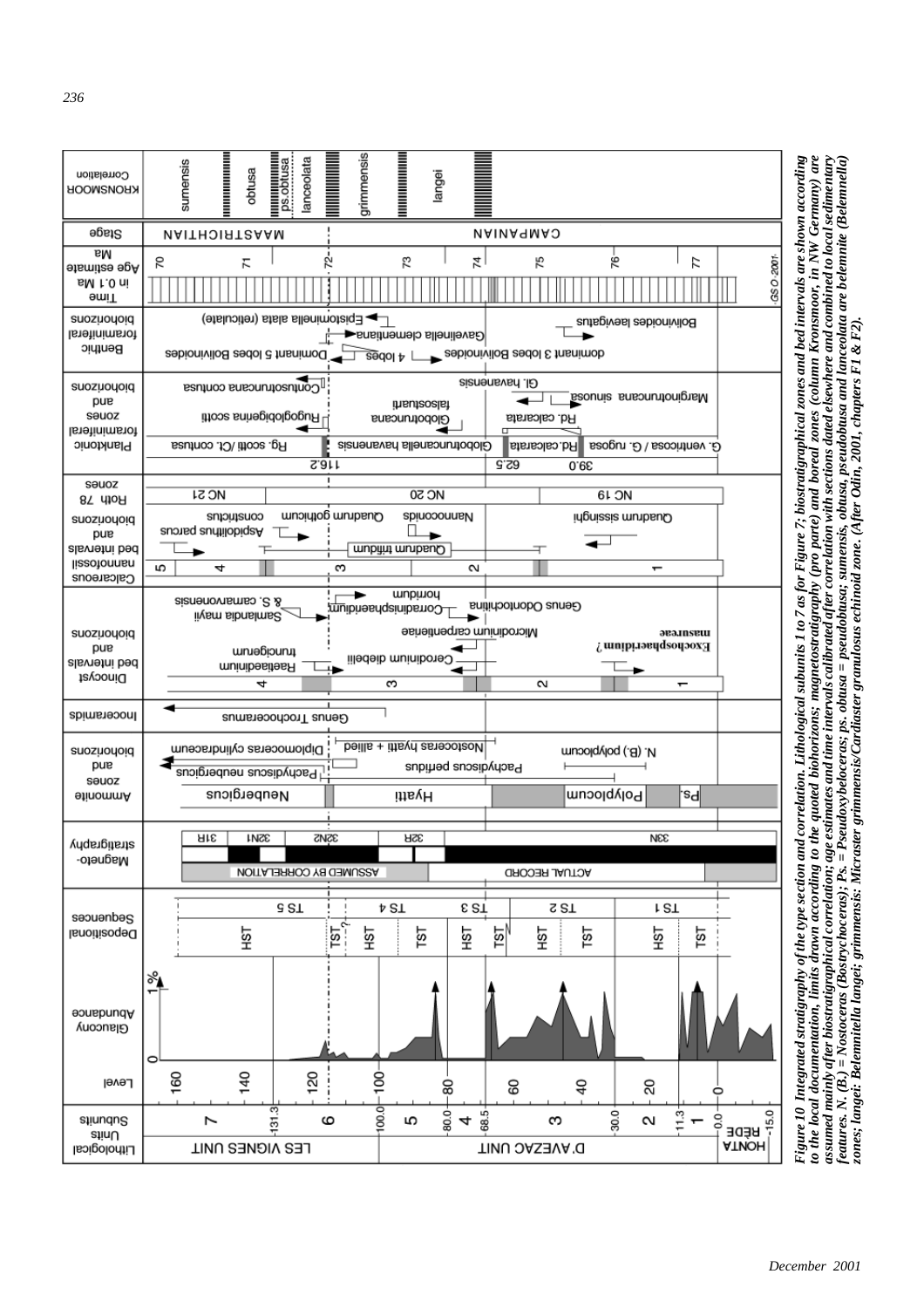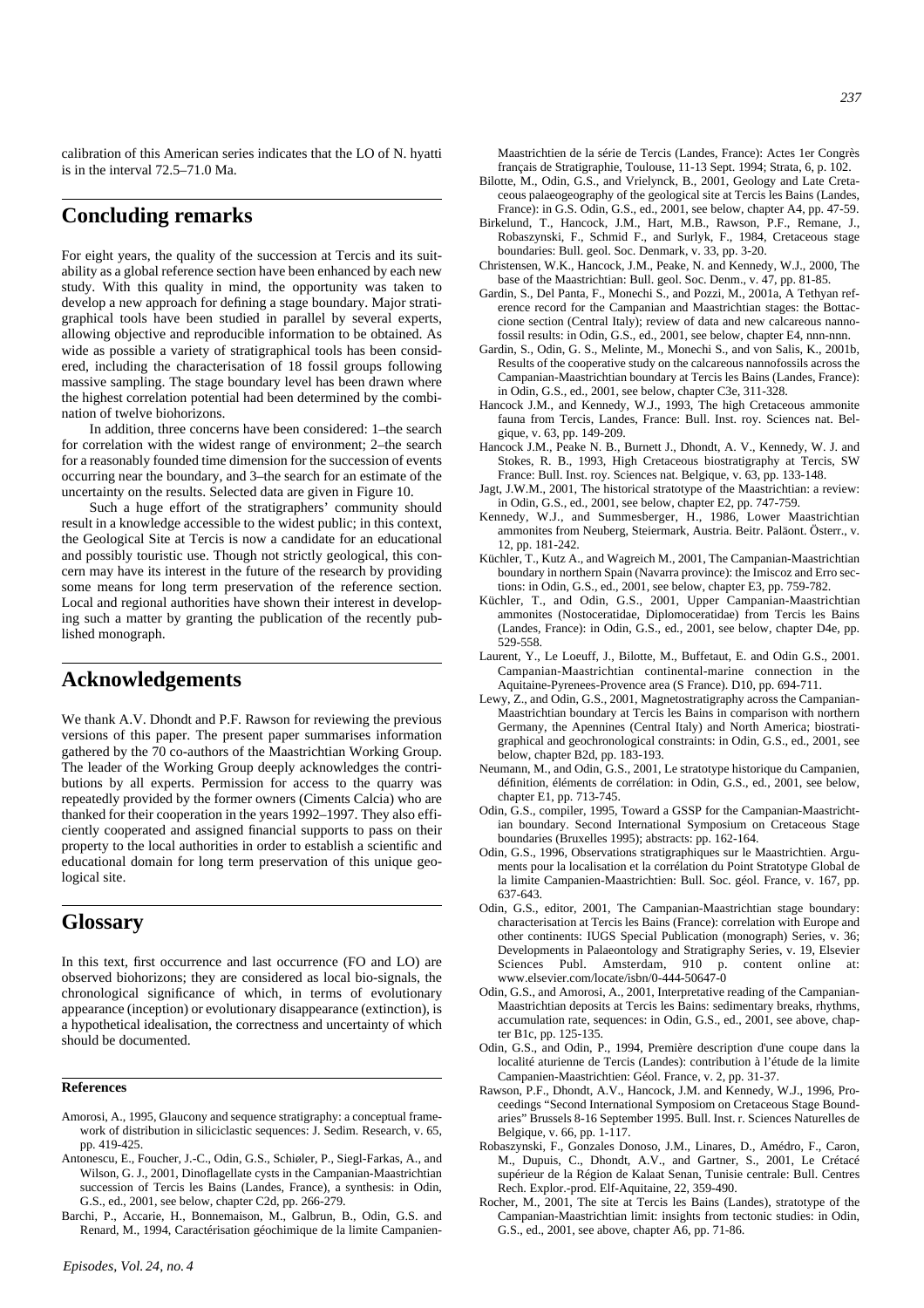calibration of this American series indicates that the LO of N. hyatti is in the interval 72.5–71.0 Ma.

### **Concluding remarks**

For eight years, the quality of the succession at Tercis and its suitability as a global reference section have been enhanced by each new study. With this quality in mind, the opportunity was taken to develop a new approach for defining a stage boundary. Major stratigraphical tools have been studied in parallel by several experts, allowing objective and reproducible information to be obtained. As wide as possible a variety of stratigraphical tools has been considered, including the characterisation of 18 fossil groups following massive sampling. The stage boundary level has been drawn where the highest correlation potential had been determined by the combination of twelve biohorizons.

In addition, three concerns have been considered: 1–the search for correlation with the widest range of environment; 2–the search for a reasonably founded time dimension for the succession of events occurring near the boundary, and 3–the search for an estimate of the uncertainty on the results. Selected data are given in Figure 10.

Such a huge effort of the stratigraphers' community should result in a knowledge accessible to the widest public; in this context, the Geological Site at Tercis is now a candidate for an educational and possibly touristic use. Though not strictly geological, this concern may have its interest in the future of the research by providing some means for long term preservation of the reference section. Local and regional authorities have shown their interest in developing such a matter by granting the publication of the recently published monograph.

### **Acknowledgements**

We thank A.V. Dhondt and P.F. Rawson for reviewing the previous versions of this paper. The present paper summarises information gathered by the 70 co-authors of the Maastrichtian Working Group. The leader of the Working Group deeply acknowledges the contributions by all experts. Permission for access to the quarry was repeatedly provided by the former owners (Ciments Calcia) who are thanked for their cooperation in the years 1992–1997. They also efficiently cooperated and assigned financial supports to pass on their property to the local authorities in order to establish a scientific and educational domain for long term preservation of this unique geological site.

### **Glossary**

In this text, first occurrence and last occurrence (FO and LO) are observed biohorizons; they are considered as local bio-signals, the chronological significance of which, in terms of evolutionary appearance (inception) or evolutionary disappearance (extinction), is a hypothetical idealisation, the correctness and uncertainty of which should be documented.

#### **References**

- Amorosi, A., 1995, Glaucony and sequence stratigraphy: a conceptual framework of distribution in siliciclastic sequences: J. Sedim. Research, v. 65, pp. 419-425.
- Antonescu, E., Foucher, J.-C., Odin, G.S., Schiøler, P., Siegl-Farkas, A., and Wilson, G. J., 2001, Dinoflagellate cysts in the Campanian-Maastrichtian succession of Tercis les Bains (Landes, France), a synthesis: in Odin, G.S., ed., 2001, see below, chapter C2d, pp. 266-279.
- Barchi, P., Accarie, H., Bonnemaison, M., Galbrun, B., Odin, G.S. and Renard, M., 1994, Caractérisation géochimique de la limite Campanien-
- Bilotte, M., Odin, G.S., and Vrielynck, B., 2001, Geology and Late Cretaceous palaeogeography of the geological site at Tercis les Bains (Landes, France): in G.S. Odin, G.S., ed., 2001, see below, chapter A4, pp. 47-59.
- Birkelund, T., Hancock, J.M., Hart, M.B., Rawson, P.F., Remane, J., Robaszynski, F., Schmid F., and Surlyk, F., 1984, Cretaceous stage boundaries: Bull. geol. Soc. Denmark, v. 33, pp. 3-20.
- Christensen, W.K., Hancock, J.M., Peake, N. and Kennedy, W.J., 2000, The base of the Maastrichtian: Bull. geol. Soc. Denm., v. 47, pp. 81-85.
- Gardin, S., Del Panta, F., Monechi S., and Pozzi, M., 2001a, A Tethyan reference record for the Campanian and Maastrichtian stages: the Bottaccione section (Central Italy); review of data and new calcareous nannofossil results: in Odin, G.S., ed., 2001, see below, chapter E4, nnn-nnn.
- Gardin, S., Odin, G. S., Melinte, M., Monechi S., and von Salis, K., 2001b, Results of the cooperative study on the calcareous nannofossils across the Campanian-Maastrichtian boundary at Tercis les Bains (Landes, France): in Odin, G.S., ed., 2001, see below, chapter C3e, 311-328.
- Hancock J.M., and Kennedy, W.J., 1993, The high Cretaceous ammonite fauna from Tercis, Landes, France: Bull. Inst. roy. Sciences nat. Belgique, v. 63, pp. 149-209.
- Hancock J.M., Peake N. B., Burnett J., Dhondt, A. V., Kennedy, W. J. and Stokes, R. B., 1993, High Cretaceous biostratigraphy at Tercis, SW France: Bull. Inst. roy. Sciences nat. Belgique, v. 63, pp. 133-148.
- Jagt, J.W.M., 2001, The historical stratotype of the Maastrichtian: a review: in Odin, G.S., ed., 2001, see below, chapter E2, pp. 747-759.
- Kennedy, W.J., and Summesberger, H., 1986, Lower Maastrichtian ammonites from Neuberg, Steiermark, Austria. Beitr. Paläont. Österr., v. 12, pp. 181-242.
- Küchler, T., Kutz A., and Wagreich M., 2001, The Campanian-Maastrichtian boundary in northern Spain (Navarra province): the Imiscoz and Erro sections: in Odin, G.S., ed., 2001, see below, chapter E3, pp. 759-782.
- Küchler, T., and Odin, G.S., 2001, Upper Campanian-Maastrichtian ammonites (Nostoceratidae, Diplomoceratidae) from Tercis les Bains (Landes, France): in Odin, G.S., ed., 2001, see below, chapter D4e, pp. 529-558.
- Laurent, Y., Le Loeuff, J., Bilotte, M., Buffetaut, E. and Odin G.S., 2001. Campanian-Maastrichtian continental-marine connection in the Aquitaine-Pyrenees-Provence area (S France). D10, pp. 694-711.
- Lewy, Z., and Odin, G.S., 2001, Magnetostratigraphy across the Campanian-Maastrichtian boundary at Tercis les Bains in comparison with northern Germany, the Apennines (Central Italy) and North America; biostratigraphical and geochronological constraints: in Odin, G.S., ed., 2001, see below, chapter B2d, pp. 183-193.
- Neumann, M., and Odin, G.S., 2001, Le stratotype historique du Campanien, définition, éléments de corrélation: in Odin, G.S., ed., 2001, see below, chapter E1, pp. 713-745.
- Odin, G.S., compiler, 1995, Toward a GSSP for the Campanian-Maastrichtian boundary. Second International Symposium on Cretaceous Stage boundaries (Bruxelles 1995); abstracts: pp. 162-164.
- Odin, G.S., 1996, Observations stratigraphiques sur le Maastrichtien. Arguments pour la localisation et la corrélation du Point Stratotype Global de la limite Campanien-Maastrichtien: Bull. Soc. géol. France, v. 167, pp. 637-643.
- Odin, G.S., editor, 2001, The Campanian-Maastrichtian stage boundary: characterisation at Tercis les Bains (France): correlation with Europe and other continents: IUGS Special Publication (monograph) Series, v. 36; Developments in Palaeontology and Stratigraphy Series, v. 19, Elsevier Sciences Publ. Amsterdam, 910 p. content online at: www.elsevier.com/locate/isbn/0-444-50647-0
- Odin, G.S., and Amorosi, A., 2001, Interpretative reading of the Campanian-Maastrichtian deposits at Tercis les Bains: sedimentary breaks, rhythms, accumulation rate, sequences: in Odin, G.S., ed., 2001, see above, chapter B1c, pp. 125-135.
- Odin, G.S., and Odin, P., 1994, Première description d'une coupe dans la localité aturienne de Tercis (Landes): contribution à l'étude de la limite Campanien-Maastrichtien: Géol. France, v. 2, pp. 31-37.
- Rawson, P.F., Dhondt, A.V., Hancock, J.M. and Kennedy, W.J., 1996, Proceedings "Second International Symposiom on Cretaceous Stage Boundaries" Brussels 8-16 September 1995. Bull. Inst. r. Sciences Naturelles de Belgique, v. 66, pp. 1-117.
- Robaszynski, F., Gonzales Donoso, J.M., Linares, D., Amédro, F., Caron, M., Dupuis, C., Dhondt, A.V., and Gartner, S., 2001, Le Crétacé supérieur de la Région de Kalaat Senan, Tunisie centrale: Bull. Centres Rech. Explor.-prod. Elf-Aquitaine, 22, 359-490.
- Rocher, M., 2001, The site at Tercis les Bains (Landes), stratotype of the Campanian-Maastrichtian limit: insights from tectonic studies: in Odin, G.S., ed., 2001, see above, chapter A6, pp. 71-86.